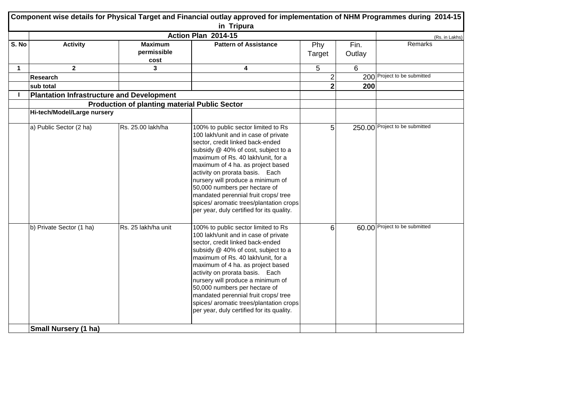|                              | Component wise details for Physical Target and Financial outlay approved for implementation of NHM Programmes during 2014-15<br>in Tripura |                                                      |                                                                                                                                                                                                                                                                                                                                                                                                                                                                            |                |                |                                |  |
|------------------------------|--------------------------------------------------------------------------------------------------------------------------------------------|------------------------------------------------------|----------------------------------------------------------------------------------------------------------------------------------------------------------------------------------------------------------------------------------------------------------------------------------------------------------------------------------------------------------------------------------------------------------------------------------------------------------------------------|----------------|----------------|--------------------------------|--|
|                              |                                                                                                                                            |                                                      | Action Plan 2014-15                                                                                                                                                                                                                                                                                                                                                                                                                                                        |                |                | (Rs. in Lakhs)                 |  |
| $\overline{\mathsf{S}}$ . No | <b>Activity</b>                                                                                                                            | <b>Maximum</b><br>permissible<br>cost                | <b>Pattern of Assistance</b>                                                                                                                                                                                                                                                                                                                                                                                                                                               | Phy<br>Target  | Fin.<br>Outlay | Remarks                        |  |
| $\mathbf 1$                  | $\mathbf{2}$                                                                                                                               | 3                                                    | 4                                                                                                                                                                                                                                                                                                                                                                                                                                                                          | 5              | 6              |                                |  |
|                              | <b>Research</b>                                                                                                                            |                                                      |                                                                                                                                                                                                                                                                                                                                                                                                                                                                            | 2              |                | 200 Project to be submitted    |  |
|                              | sub total                                                                                                                                  |                                                      |                                                                                                                                                                                                                                                                                                                                                                                                                                                                            | $\mathbf{2}$   | 200            |                                |  |
|                              | <b>Plantation Infrastructure and Development</b>                                                                                           |                                                      |                                                                                                                                                                                                                                                                                                                                                                                                                                                                            |                |                |                                |  |
|                              |                                                                                                                                            | <b>Production of planting material Public Sector</b> |                                                                                                                                                                                                                                                                                                                                                                                                                                                                            |                |                |                                |  |
|                              | Hi-tech/Model/Large nursery                                                                                                                |                                                      |                                                                                                                                                                                                                                                                                                                                                                                                                                                                            |                |                |                                |  |
|                              | a) Public Sector (2 ha)                                                                                                                    | Rs. 25.00 lakh/ha                                    | 100% to public sector limited to Rs<br>100 lakh/unit and in case of private<br>sector, credit linked back-ended<br>subsidy @ 40% of cost, subject to a<br>maximum of Rs. 40 lakh/unit, for a<br>maximum of 4 ha. as project based<br>activity on prorata basis. Each<br>nursery will produce a minimum of<br>50,000 numbers per hectare of<br>mandated perennial fruit crops/ tree<br>spices/ aromatic trees/plantation crops<br>per year, duly certified for its quality. | 5              |                | 250.00 Project to be submitted |  |
|                              | b) Private Sector (1 ha)                                                                                                                   | Rs. 25 lakh/ha unit                                  | 100% to public sector limited to Rs<br>100 lakh/unit and in case of private<br>sector, credit linked back-ended<br>subsidy @ 40% of cost, subject to a<br>maximum of Rs. 40 lakh/unit, for a<br>maximum of 4 ha. as project based<br>activity on prorata basis. Each<br>nursery will produce a minimum of<br>50,000 numbers per hectare of<br>mandated perennial fruit crops/ tree<br>spices/ aromatic trees/plantation crops<br>per year, duly certified for its quality. | 6 <sup>1</sup> |                | 60.00 Project to be submitted  |  |
|                              | <b>Small Nursery (1 ha)</b>                                                                                                                |                                                      |                                                                                                                                                                                                                                                                                                                                                                                                                                                                            |                |                |                                |  |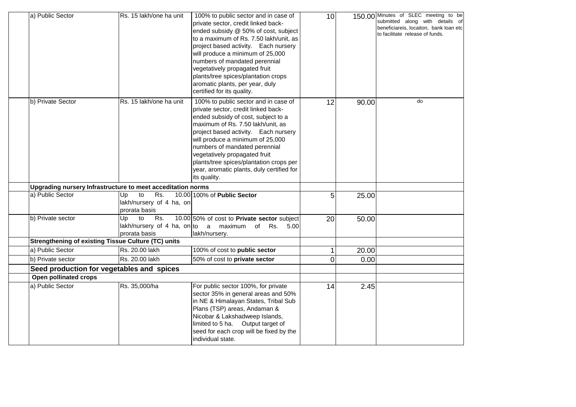| a) Public Sector      | Rs. 15 lakh/one ha unit                                      | 100% to public sector and in case of<br>private sector, credit linked back-<br>ended subsidy @ 50% of cost, subject<br>to a maximum of Rs. 7.50 lakh/unit, as<br>project based activity. Each nursery<br>will produce a minimum of 25,000<br>numbers of mandated perennial<br>vegetatively propagated fruit<br>plants/tree spices/plantation crops<br>aromatic plants, per year, duly<br>certified for its quality. | 10 <sup>1</sup> |       | 150.00 Minutes of SLEC meeting to be<br>submitted along with details of<br>beneficiareis, locaiton, bank loan etc<br>to facilitate release of funds. |
|-----------------------|--------------------------------------------------------------|---------------------------------------------------------------------------------------------------------------------------------------------------------------------------------------------------------------------------------------------------------------------------------------------------------------------------------------------------------------------------------------------------------------------|-----------------|-------|------------------------------------------------------------------------------------------------------------------------------------------------------|
| b) Private Sector     | Rs. 15 lakh/one ha unit                                      | 100% to public sector and in case of<br>private sector, credit linked back-<br>ended subsidy of cost, subject to a<br>maximum of Rs. 7.50 lakh/unit, as<br>project based activity. Each nursery<br>will produce a minimum of 25,000<br>numbers of mandated perennial<br>vegetatively propagated fruit<br>plants/tree spices/plantation crops per<br>year, aromatic plants, duly certified for<br>its quality.       | 12              | 90.00 | do                                                                                                                                                   |
|                       | Upgrading nursery Infrastructure to meet acceditation norms  |                                                                                                                                                                                                                                                                                                                                                                                                                     |                 |       |                                                                                                                                                      |
| a) Public Sector      | to<br>Rs.<br>Up<br>lakh/nursery of 4 ha, on<br>prorata basis | 10.00 100% of Public Sector                                                                                                                                                                                                                                                                                                                                                                                         | 5               | 25.00 |                                                                                                                                                      |
| b) Private sector     | to<br>Rs.<br>Up<br>prorata basis                             | 10.00 50% of cost to Private sector subject<br>lakh/nursery of 4 ha, on to a maximum of Rs. 5.00<br>lakh/nursery.                                                                                                                                                                                                                                                                                                   | 20              | 50.00 |                                                                                                                                                      |
|                       | <b>Strengthening of existing Tissue Culture (TC) units</b>   |                                                                                                                                                                                                                                                                                                                                                                                                                     |                 |       |                                                                                                                                                      |
| a) Public Sector      | Rs. 20.00 lakh                                               | 100% of cost to public sector                                                                                                                                                                                                                                                                                                                                                                                       | $\mathbf{1}$    | 20.00 |                                                                                                                                                      |
| b) Private sector     | Rs. 20.00 lakh                                               | 50% of cost to private sector                                                                                                                                                                                                                                                                                                                                                                                       | $\Omega$        | 0.00  |                                                                                                                                                      |
|                       | Seed production for vegetables and spices                    |                                                                                                                                                                                                                                                                                                                                                                                                                     |                 |       |                                                                                                                                                      |
| Open pollinated crops |                                                              |                                                                                                                                                                                                                                                                                                                                                                                                                     |                 |       |                                                                                                                                                      |
| a) Public Sector      | Rs. 35,000/ha                                                | For public sector 100%, for private<br>sector 35% in general areas and 50%<br>in NE & Himalayan States, Tribal Sub<br>Plans (TSP) areas, Andaman &<br>Nicobar & Lakshadweep Islands,<br>limited to 5 ha. Output target of<br>seed for each crop will be fixed by the<br>individual state.                                                                                                                           | 14              | 2.45  |                                                                                                                                                      |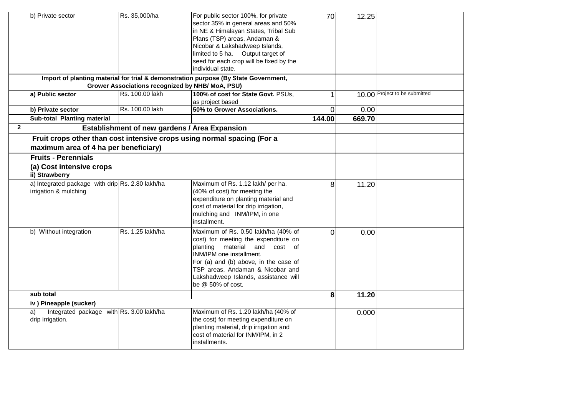|              | b) Private sector                                                                                                | Rs. 35,000/ha                                        | For public sector 100%, for private<br>sector 35% in general areas and 50%<br>in NE & Himalayan States, Tribal Sub<br>Plans (TSP) areas, Andaman &<br>Nicobar & Lakshadweep Islands,<br>limited to 5 ha. Output target of<br>seed for each crop will be fixed by the<br>individual state. | 70             | 12.25  |                               |
|--------------|------------------------------------------------------------------------------------------------------------------|------------------------------------------------------|-------------------------------------------------------------------------------------------------------------------------------------------------------------------------------------------------------------------------------------------------------------------------------------------|----------------|--------|-------------------------------|
|              |                                                                                                                  |                                                      | Import of planting material for trial & demonstration purpose (By State Government,                                                                                                                                                                                                       |                |        |                               |
|              |                                                                                                                  | Grower Associations recognized by NHB/ MoA, PSU)     |                                                                                                                                                                                                                                                                                           |                |        |                               |
|              | a) Public sector                                                                                                 | Rs. 100.00 lakh                                      | 100% of cost for State Govt. PSUs,<br>as project based                                                                                                                                                                                                                                    |                |        | 10.00 Project to be submitted |
|              | b) Private sector                                                                                                | Rs. 100.00 lakh                                      | 50% to Grower Associations.                                                                                                                                                                                                                                                               | $\overline{0}$ | 0.00   |                               |
|              | Sub-total Planting material                                                                                      |                                                      |                                                                                                                                                                                                                                                                                           | 144.00         | 669.70 |                               |
| $\mathbf{2}$ |                                                                                                                  | <b>Establishment of new gardens / Area Expansion</b> |                                                                                                                                                                                                                                                                                           |                |        |                               |
|              | Fruit crops other than cost intensive crops using normal spacing (For a<br>maximum area of 4 ha per beneficiary) |                                                      |                                                                                                                                                                                                                                                                                           |                |        |                               |
|              | <b>Fruits - Perennials</b>                                                                                       |                                                      |                                                                                                                                                                                                                                                                                           |                |        |                               |
|              | (a) Cost intensive crops                                                                                         |                                                      |                                                                                                                                                                                                                                                                                           |                |        |                               |
|              | ii) Strawberry                                                                                                   |                                                      |                                                                                                                                                                                                                                                                                           |                |        |                               |
|              | a) Integrated package with drip Rs. 2.80 lakh/ha<br>irrigation & mulching                                        |                                                      | Maximum of Rs. 1.12 lakh/ per ha.<br>(40% of cost) for meeting the<br>expenditure on planting material and<br>cost of material for drip irrigation,<br>mulching and INM/IPM, in one<br>installment.                                                                                       | 8 <sup>1</sup> | 11.20  |                               |
|              | b) Without integration                                                                                           | Rs. 1.25 lakh/ha                                     | Maximum of Rs. 0.50 lakh/ha (40% of<br>cost) for meeting the expenditure on<br>planting material and cost of<br>INM/IPM one installment.<br>For (a) and (b) above, in the case of<br>TSP areas, Andaman & Nicobar and<br>Lakshadweep Islands, assistance will<br>be @ 50% of cost.        | 0              | 0.00   |                               |
|              | sub total                                                                                                        |                                                      |                                                                                                                                                                                                                                                                                           | 8 <sup>1</sup> | 11.20  |                               |
|              | iv) Pineapple (sucker)                                                                                           |                                                      |                                                                                                                                                                                                                                                                                           |                |        |                               |
|              | Integrated package with Rs. 3.00 lakh/ha<br>a)<br>drip irrigation.                                               |                                                      | Maximum of Rs. 1.20 lakh/ha (40% of<br>the cost) for meeting expenditure on<br>planting material, drip irrigation and<br>cost of material for INM/IPM, in 2<br>installments.                                                                                                              |                | 0.000  |                               |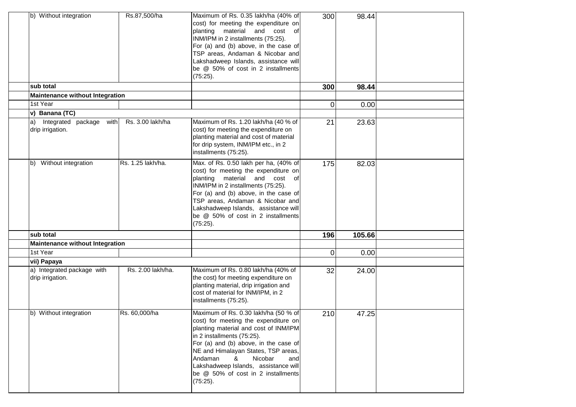| b) Without integration                                                 | Rs.87,500/ha      | Maximum of Rs. 0.35 lakh/ha (40% of<br>cost) for meeting the expenditure on<br>planting<br>material<br>and cost of<br>INM/IPM in 2 installments (75:25).<br>For (a) and (b) above, in the case of<br>TSP areas, Andaman & Nicobar and<br>Lakshadweep Islands, assistance will<br>be @ 50% of cost in 2 installments<br>(75:25).                                 | 300            | 98.44  |  |
|------------------------------------------------------------------------|-------------------|-----------------------------------------------------------------------------------------------------------------------------------------------------------------------------------------------------------------------------------------------------------------------------------------------------------------------------------------------------------------|----------------|--------|--|
| sub total                                                              |                   |                                                                                                                                                                                                                                                                                                                                                                 | 300            | 98.44  |  |
| <b>Maintenance without Integration</b>                                 |                   |                                                                                                                                                                                                                                                                                                                                                                 |                |        |  |
| 1st Year                                                               |                   |                                                                                                                                                                                                                                                                                                                                                                 | $\overline{0}$ | 0.00   |  |
| v) Banana (TC)<br>Integrated package<br>with<br>a)<br>drip irrigation. | Rs. 3.00 lakh/ha  | Maximum of Rs. 1.20 lakh/ha (40 % of<br>cost) for meeting the expenditure on<br>planting material and cost of material<br>for drip system, INM/IPM etc., in 2<br>installments (75:25).                                                                                                                                                                          | 21             | 23.63  |  |
| b) Without integration                                                 | Rs. 1.25 lakh/ha. | Max. of Rs. 0.50 lakh per ha, (40% of<br>cost) for meeting the expenditure on<br>material and cost of<br>planting<br>INM/IPM in 2 installments (75:25).<br>For (a) and (b) above, in the case of<br>TSP areas, Andaman & Nicobar and<br>Lakshadweep Islands, assistance will<br>be @ 50% of cost in 2 installments<br>(75:25).                                  | 175            | 82.03  |  |
| sub total                                                              |                   |                                                                                                                                                                                                                                                                                                                                                                 | 196            | 105.66 |  |
| <b>Maintenance without Integration</b>                                 |                   |                                                                                                                                                                                                                                                                                                                                                                 |                |        |  |
| 1st Year                                                               |                   |                                                                                                                                                                                                                                                                                                                                                                 | 0              | 0.00   |  |
| vii) Papaya                                                            |                   |                                                                                                                                                                                                                                                                                                                                                                 |                |        |  |
| a) Integrated package with<br>drip irrigation.                         | Rs. 2.00 lakh/ha. | Maximum of Rs. 0.80 lakh/ha (40% of<br>the cost) for meeting expenditure on<br>planting material, drip irrigation and<br>cost of material for INM/IPM, in 2<br>installments (75:25).                                                                                                                                                                            | 32             | 24.00  |  |
| b) Without integration                                                 | Rs. 60,000/ha     | Maximum of Rs. 0.30 lakh/ha (50 % of<br>cost) for meeting the expenditure on<br>planting material and cost of INM/IPM<br>in 2 installments (75:25).<br>For (a) and (b) above, in the case of<br>NE and Himalayan States, TSP areas,<br>Andaman<br>&<br>Nicobar<br>and<br>Lakshadweep Islands, assistance will<br>be @ 50% of cost in 2 installments<br>(75:25). | 210            | 47.25  |  |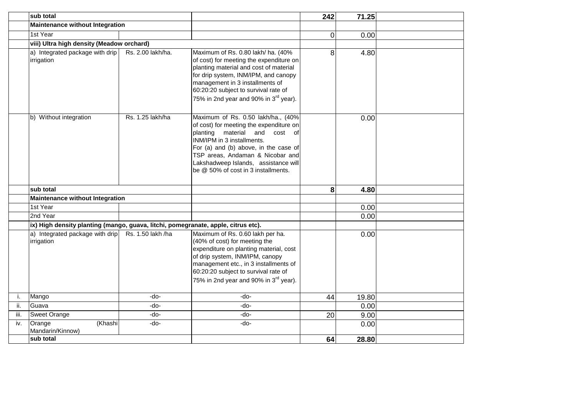|      | sub total                                                                         |                   |                                                                                                                                                                                                                                                                                                             | 242 | 71.25 |  |
|------|-----------------------------------------------------------------------------------|-------------------|-------------------------------------------------------------------------------------------------------------------------------------------------------------------------------------------------------------------------------------------------------------------------------------------------------------|-----|-------|--|
|      | <b>Maintenance without Integration</b>                                            |                   |                                                                                                                                                                                                                                                                                                             |     |       |  |
|      | 1st Year                                                                          |                   |                                                                                                                                                                                                                                                                                                             | 0   | 0.00  |  |
|      | viii) Ultra high density (Meadow orchard)                                         |                   |                                                                                                                                                                                                                                                                                                             |     |       |  |
|      | a) Integrated package with drip<br>irrigation                                     | Rs. 2.00 lakh/ha. | Maximum of Rs. 0.80 lakh/ ha. (40%<br>of cost) for meeting the expenditure on<br>planting material and cost of material<br>for drip system, INM/IPM, and canopy<br>management in 3 installments of<br>60:20:20 subject to survival rate of<br>75% in 2nd year and 90% in 3 <sup>rd</sup> year).             | 8   | 4.80  |  |
|      | b) Without integration                                                            | Rs. 1.25 lakh/ha  | Maximum of Rs. 0.50 lakh/ha., (40%<br>of cost) for meeting the expenditure on<br>planting material and<br>cost of<br>INM/IPM in 3 installments.<br>For (a) and (b) above, in the case of<br>TSP areas, Andaman & Nicobar and<br>Lakshadweep Islands, assistance will<br>be @ 50% of cost in 3 installments. |     | 0.00  |  |
|      | sub total                                                                         |                   |                                                                                                                                                                                                                                                                                                             | 8   | 4.80  |  |
|      | Maintenance without Integration                                                   |                   |                                                                                                                                                                                                                                                                                                             |     |       |  |
|      | 1st Year                                                                          |                   |                                                                                                                                                                                                                                                                                                             |     | 0.00  |  |
|      | 2nd Year                                                                          |                   |                                                                                                                                                                                                                                                                                                             |     | 0.00  |  |
|      | ix) High density planting (mango, guava, litchi, pomegranate, apple, citrus etc). |                   |                                                                                                                                                                                                                                                                                                             |     |       |  |
|      | a) Integrated package with drip<br>irrigation                                     | Rs. 1.50 lakh /ha | Maximum of Rs. 0.60 lakh per ha.<br>(40% of cost) for meeting the<br>expenditure on planting material, cost<br>of drip system, INM/IPM, canopy<br>management etc., in 3 installments of<br>60:20:20 subject to survival rate of<br>75% in 2nd year and 90% in 3 <sup>rd</sup> year).                        |     | 0.00  |  |
| i.   | Mango                                                                             | -do-              | -do-                                                                                                                                                                                                                                                                                                        | 44  | 19.80 |  |
| ii.  | Guava                                                                             | -do-              | -do-                                                                                                                                                                                                                                                                                                        |     | 0.00  |  |
| iii. | <b>Sweet Orange</b>                                                               | -do-              | -do-                                                                                                                                                                                                                                                                                                        | 20  | 9.00  |  |
| iv.  | Orange<br>(Khashi<br>Mandarin/Kinnow)                                             | -do-              | -do-                                                                                                                                                                                                                                                                                                        |     | 0.00  |  |
|      | sub total                                                                         |                   |                                                                                                                                                                                                                                                                                                             | 64  | 28.80 |  |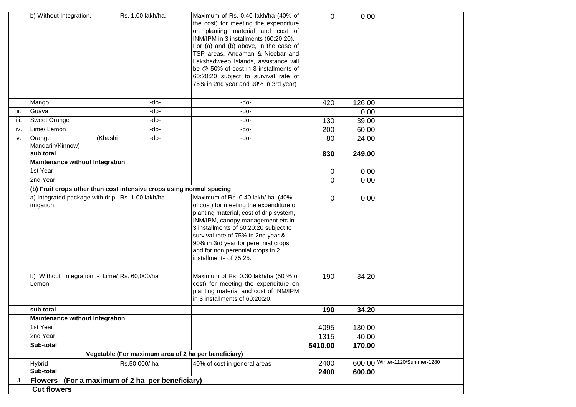|      | b) Without Integration.                                              | Rs. 1.00 lakh/ha.                                    | Maximum of Rs. 0.40 lakh/ha (40% of<br>the cost) for meeting the expenditure<br>on planting material and cost of<br>INM/IPM in 3 installments (60:20:20).<br>For (a) and (b) above, in the case of<br>TSP areas, Andaman & Nicobar and<br>Lakshadweep Islands, assistance will<br>be @ 50% of cost in 3 installments of<br>60:20:20 subject to survival rate of<br>75% in 2nd year and 90% in 3rd year) | $\overline{O}$ | 0.00   |                                |
|------|----------------------------------------------------------------------|------------------------------------------------------|---------------------------------------------------------------------------------------------------------------------------------------------------------------------------------------------------------------------------------------------------------------------------------------------------------------------------------------------------------------------------------------------------------|----------------|--------|--------------------------------|
| Ι.   | Mango                                                                | -do-                                                 | -do-                                                                                                                                                                                                                                                                                                                                                                                                    | 420            | 126.00 |                                |
| ii.  | Guava                                                                | -do-                                                 | -do-                                                                                                                                                                                                                                                                                                                                                                                                    |                | 0.00   |                                |
| iii. | <b>Sweet Orange</b>                                                  | -do-                                                 | -do-                                                                                                                                                                                                                                                                                                                                                                                                    | 130            | 39.00  |                                |
| iv.  | Lime/ Lemon                                                          | -do-                                                 | -do-                                                                                                                                                                                                                                                                                                                                                                                                    | 200            | 60.00  |                                |
| v.   | (Khashi<br>Orange<br>Mandarin/Kinnow)                                | -do-                                                 | -do-                                                                                                                                                                                                                                                                                                                                                                                                    | 80             | 24.00  |                                |
|      | sub total                                                            |                                                      |                                                                                                                                                                                                                                                                                                                                                                                                         | 830            | 249.00 |                                |
|      | <b>Maintenance without Integration</b>                               |                                                      |                                                                                                                                                                                                                                                                                                                                                                                                         |                |        |                                |
|      | 1st Year                                                             |                                                      |                                                                                                                                                                                                                                                                                                                                                                                                         | 0              | 0.00   |                                |
|      | 2nd Year                                                             |                                                      |                                                                                                                                                                                                                                                                                                                                                                                                         | $\overline{0}$ | 0.00   |                                |
|      | (b) Fruit crops other than cost intensive crops using normal spacing |                                                      |                                                                                                                                                                                                                                                                                                                                                                                                         |                |        |                                |
|      | a) Integrated package with drip Rs. 1.00 lakh/ha<br>irrigation       |                                                      | Maximum of Rs. 0.40 lakh/ ha. (40%<br>of cost) for meeting the expenditure on<br>planting material, cost of drip system,<br>INM/IPM, canopy management etc in<br>3 installments of 60:20:20 subject to<br>survival rate of 75% in 2nd year &<br>90% in 3rd year for perennial crops<br>and for non perennial crops in 2<br>installments of 75:25.                                                       | $\overline{0}$ | 0.00   |                                |
|      | b) Without Integration - Lime/Rs. 60,000/ha<br>Lemon                 |                                                      | Maximum of Rs. 0.30 lakh/ha (50 % of<br>cost) for meeting the expenditure on<br>planting material and cost of INM/IPM<br>in 3 installments of 60:20:20.                                                                                                                                                                                                                                                 | 190            | 34.20  |                                |
|      | sub total                                                            |                                                      |                                                                                                                                                                                                                                                                                                                                                                                                         | 190            | 34.20  |                                |
|      | <b>Maintenance without Integration</b>                               |                                                      |                                                                                                                                                                                                                                                                                                                                                                                                         |                |        |                                |
|      | 1st Year                                                             |                                                      |                                                                                                                                                                                                                                                                                                                                                                                                         | 4095           | 130.00 |                                |
|      | 2nd Year                                                             |                                                      |                                                                                                                                                                                                                                                                                                                                                                                                         | 1315           | 40.00  |                                |
|      | Sub-total                                                            |                                                      |                                                                                                                                                                                                                                                                                                                                                                                                         | 5410.00        | 170.00 |                                |
|      |                                                                      | Vegetable (For maximum area of 2 ha per beneficiary) |                                                                                                                                                                                                                                                                                                                                                                                                         |                |        |                                |
|      | <b>Hybrid</b>                                                        | Rs.50,000/ha                                         | 40% of cost in general areas                                                                                                                                                                                                                                                                                                                                                                            | 2400           |        | 600.00 Winter-1120/Summer-1280 |
|      | Sub-total                                                            |                                                      |                                                                                                                                                                                                                                                                                                                                                                                                         | 2400           | 600.00 |                                |
| 3    | Flowers (For a maximum of 2 ha per beneficiary)                      |                                                      |                                                                                                                                                                                                                                                                                                                                                                                                         |                |        |                                |
|      | <b>Cut flowers</b>                                                   |                                                      |                                                                                                                                                                                                                                                                                                                                                                                                         |                |        |                                |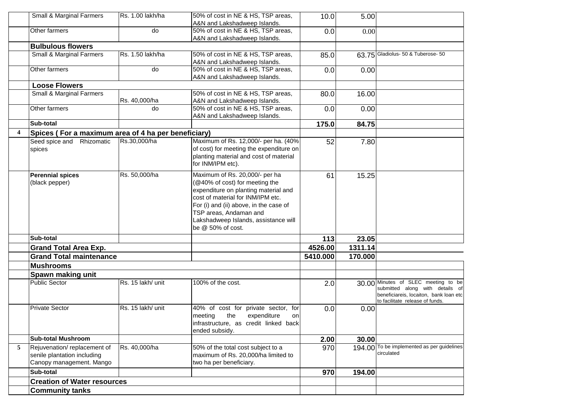|   | Small & Marginal Farmers                            | Rs. 1.00 lakh/ha  | 50% of cost in NE & HS, TSP areas,                                 | 10.0     | 5.00    |                                            |
|---|-----------------------------------------------------|-------------------|--------------------------------------------------------------------|----------|---------|--------------------------------------------|
|   | Other farmers                                       |                   | A&N and Lakshadweep Islands.<br>50% of cost in NE & HS, TSP areas, |          |         |                                            |
|   |                                                     | do                |                                                                    | 0.0      | 0.00    |                                            |
|   | <b>Bulbulous flowers</b>                            |                   | A&N and Lakshadweep Islands.                                       |          |         |                                            |
|   |                                                     | Rs. 1.50 lakh/ha  |                                                                    |          |         | 63.75 Gladiolus- 50 & Tuberose- 50         |
|   | Small & Marginal Farmers                            |                   | 50% of cost in NE & HS, TSP areas,<br>A&N and Lakshadweep Islands. | 85.0     |         |                                            |
|   | Other farmers                                       | do                | 50% of cost in NE & HS, TSP areas,                                 | 0.0      | 0.00    |                                            |
|   |                                                     |                   | A&N and Lakshadweep Islands.                                       |          |         |                                            |
|   | <b>Loose Flowers</b>                                |                   |                                                                    |          |         |                                            |
|   | Small & Marginal Farmers                            |                   | 50% of cost in NE & HS, TSP areas,                                 | 80.0     | 16.00   |                                            |
|   |                                                     | Rs. 40,000/ha     | A&N and Lakshadweep Islands.                                       |          |         |                                            |
|   | Other farmers                                       | do                | 50% of cost in NE & HS, TSP areas,                                 | 0.0      | 0.00    |                                            |
|   |                                                     |                   | A&N and Lakshadweep Islands.                                       |          |         |                                            |
|   | Sub-total                                           |                   |                                                                    | 175.0    | 84.75   |                                            |
| 4 | Spices (For a maximum area of 4 ha per beneficiary) |                   |                                                                    |          |         |                                            |
|   | Seed spice and<br>Rhizomatic                        | Rs.30,000/ha      | Maximum of Rs. 12,000/- per ha. (40%                               | 52       | 7.80    |                                            |
|   | spices                                              |                   | of cost) for meeting the expenditure on                            |          |         |                                            |
|   |                                                     |                   | planting material and cost of material                             |          |         |                                            |
|   |                                                     |                   | for INM/IPM etc).                                                  |          |         |                                            |
|   | <b>Perennial spices</b>                             | Rs. 50,000/ha     | Maximum of Rs. 20,000/- per ha                                     |          |         |                                            |
|   |                                                     |                   | (@40% of cost) for meeting the                                     | 61       | 15.25   |                                            |
|   | (black pepper)                                      |                   | expenditure on planting material and                               |          |         |                                            |
|   |                                                     |                   | cost of material for INM/IPM etc.                                  |          |         |                                            |
|   |                                                     |                   | For (i) and (ii) above, in the case of                             |          |         |                                            |
|   |                                                     |                   | TSP areas, Andaman and                                             |          |         |                                            |
|   |                                                     |                   | Lakshadweep Islands, assistance will                               |          |         |                                            |
|   |                                                     |                   | be @ 50% of cost.                                                  |          |         |                                            |
|   | Sub-total                                           |                   |                                                                    | 113      | 23.05   |                                            |
|   | <b>Grand Total Area Exp.</b>                        |                   |                                                                    | 4526.00  | 1311.14 |                                            |
|   | <b>Grand Total maintenance</b>                      |                   |                                                                    | 5410.000 | 170.000 |                                            |
|   | <b>Mushrooms</b>                                    |                   |                                                                    |          |         |                                            |
|   | Spawn making unit                                   |                   |                                                                    |          |         |                                            |
|   | <b>Public Sector</b>                                | Rs. 15 lakh/ unit | 100% of the cost.                                                  | 2.0      |         | 30.00 Minutes of SLEC meeting to be        |
|   |                                                     |                   |                                                                    |          |         | submitted along with details of            |
|   |                                                     |                   |                                                                    |          |         | beneficiareis, locaiton, bank loan etc     |
|   |                                                     |                   |                                                                    |          |         | to facilitate release of funds.            |
|   | <b>Private Sector</b>                               | Rs. 15 lakh/ unit | 40% of cost for private sector, for                                | 0.0      | 0.00    |                                            |
|   |                                                     |                   | meeting the expenditure on                                         |          |         |                                            |
|   |                                                     |                   | infrastructure, as credit linked back                              |          |         |                                            |
|   | <b>Sub-total Mushroom</b>                           |                   | ended subsidy.                                                     |          |         |                                            |
|   | Rejuvenation/replacement of                         |                   |                                                                    | 2.00     | 30.00   | 194.00 To be implemented as per guidelines |
| 5 |                                                     | Rs. 40,000/ha     | 50% of the total cost subject to a                                 | 970      |         | circulated                                 |
|   | senile plantation including                         |                   | maximum of Rs. 20,000/ha limited to                                |          |         |                                            |
|   | Canopy management. Mango                            |                   | two ha per beneficiary.                                            |          |         |                                            |
|   | Sub-total                                           |                   |                                                                    | 970      | 194.00  |                                            |
|   | <b>Creation of Water resources</b>                  |                   |                                                                    |          |         |                                            |
|   | <b>Community tanks</b>                              |                   |                                                                    |          |         |                                            |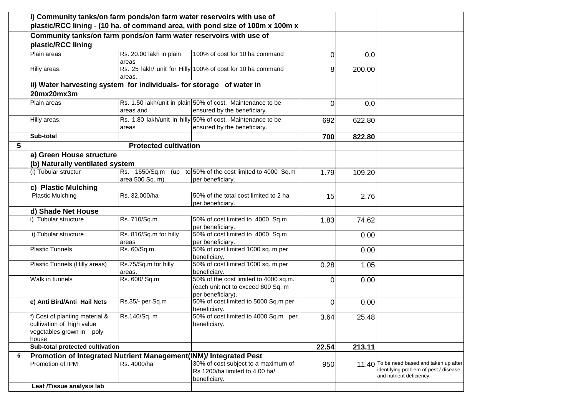|   | i) Community tanks/on farm ponds/on farm water reservoirs with use of                            |                                  |                                                                                                  |          |        |                                                                                                                |
|---|--------------------------------------------------------------------------------------------------|----------------------------------|--------------------------------------------------------------------------------------------------|----------|--------|----------------------------------------------------------------------------------------------------------------|
|   |                                                                                                  |                                  | plastic/RCC lining - (10 ha. of command area, with pond size of 100m x 100m x                    |          |        |                                                                                                                |
|   | Community tanks/on farm ponds/on farm water reservoirs with use of<br>plastic/RCC lining         |                                  |                                                                                                  |          |        |                                                                                                                |
|   | Plain areas                                                                                      | Rs. 20.00 lakh in plain<br>areas | 100% of cost for 10 ha command                                                                   | $\Omega$ | 0.0    |                                                                                                                |
|   | Hilly areas.                                                                                     | areas.                           | Rs. 25 lakh/ unit for Hilly 100% of cost for 10 ha command                                       | 81       | 200.00 |                                                                                                                |
|   | ii) Water harvesting system for individuals- for storage of water in                             |                                  |                                                                                                  |          |        |                                                                                                                |
|   | 20mx20mx3m                                                                                       |                                  |                                                                                                  |          |        |                                                                                                                |
|   | Plain areas                                                                                      | areas and                        | Rs. 1.50 lakh/unit in plain 50% of cost. Maintenance to be<br>ensured by the beneficiary.        | $\Omega$ | 0.0    |                                                                                                                |
|   | Hilly areas.                                                                                     | areas                            | Rs. 1.80 lakh/unit in hilly 50% of cost. Maintenance to be<br>ensured by the beneficiary.        | 692      | 622.80 |                                                                                                                |
|   | Sub-total                                                                                        |                                  |                                                                                                  | 700      | 822.80 |                                                                                                                |
| 5 |                                                                                                  | <b>Protected cultivation</b>     |                                                                                                  |          |        |                                                                                                                |
|   | a) Green House structure                                                                         |                                  |                                                                                                  |          |        |                                                                                                                |
|   | (b) Naturally ventilated system                                                                  |                                  |                                                                                                  |          |        |                                                                                                                |
|   | (i) Tubular structur                                                                             | area 500 Sq. m)                  | Rs. 1650/Sq.m (up to 50% of the cost limited to 4000 Sq.m<br>per beneficiary.                    | 1.79     | 109.20 |                                                                                                                |
|   | c) Plastic Mulching                                                                              |                                  |                                                                                                  |          |        |                                                                                                                |
|   | <b>Plastic Mulching</b>                                                                          | Rs. 32,000/ha                    | 50% of the total cost limited to 2 ha<br>per beneficiary.                                        | 15       | 2.76   |                                                                                                                |
|   | d) Shade Net House                                                                               |                                  |                                                                                                  |          |        |                                                                                                                |
|   | i) Tubular structure                                                                             | Rs. 710/Sq.m                     | 50% of cost limited to 4000 Sq.m<br>per beneficiary.                                             | 1.83     | 74.62  |                                                                                                                |
|   | i) Tubular structure                                                                             | Rs. 816/Sq.m for hilly<br>areas  | 50% of cost limited to 4000 Sq.m<br>per beneficiary.                                             |          | 0.00   |                                                                                                                |
|   | <b>Plastic Tunnels</b>                                                                           | Rs. 60/Sq.m                      | 50% of cost limited 1000 sq. m per<br>beneficiary.                                               |          | 0.00   |                                                                                                                |
|   | Plastic Tunnels (Hilly areas)                                                                    | Rs.75/Sq.m for hilly<br>areas.   | 50% of cost limited 1000 sq. m per<br>beneficiary.                                               | 0.28     | 1.05   |                                                                                                                |
|   | Walk in tunnels                                                                                  | Rs. 600/ Sq.m                    | 50% of the cost limited to 4000 sq.m.<br>(each unit not to exceed 800 Sq. m<br>per beneficiary). | $\Omega$ | 0.00   |                                                                                                                |
|   | e) Anti Bird/Anti Hail Nets                                                                      | Rs.35/- per Sq.m                 | 50% of cost limited to 5000 Sq.m per<br>beneficiary.                                             | $\Omega$ | 0.00   |                                                                                                                |
|   | f) Cost of planting material &<br>cultivation of high value<br>vegetables grown in poly<br>house | Rs.140/Sq. m                     | 50% of cost limited to 4000 Sq.m per<br>beneficiary.                                             | 3.64     | 25.48  |                                                                                                                |
|   | Sub-total protected cultivation                                                                  |                                  |                                                                                                  | 22.54    | 213.11 |                                                                                                                |
| 6 | Promotion of Integrated Nutrient Management(INM)/ Integrated Pest                                |                                  |                                                                                                  |          |        |                                                                                                                |
|   | Promotion of IPM                                                                                 | Rs. 4000/ha                      | 30% of cost subject to a maximum of<br>Rs 1200/ha limited to 4.00 ha/<br>beneficiary.            | 950      |        | 11.40 To be need based and taken up after<br>identifying problem of pest / disease<br>and nutrient deficiency. |
|   | Leaf /Tissue analysis lab                                                                        |                                  |                                                                                                  |          |        |                                                                                                                |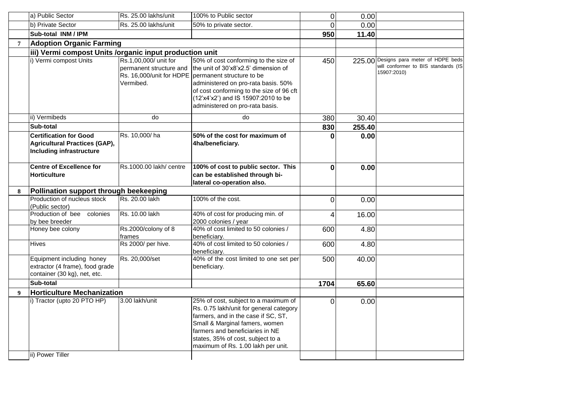|                  | a) Public Sector                                                                                         | Rs. 25.00 lakhs/unit                                          | 100% to Public sector                                                                                                                                                                                                                                                                            | 0    | 0.00   |                                                                                              |
|------------------|----------------------------------------------------------------------------------------------------------|---------------------------------------------------------------|--------------------------------------------------------------------------------------------------------------------------------------------------------------------------------------------------------------------------------------------------------------------------------------------------|------|--------|----------------------------------------------------------------------------------------------|
|                  | b) Private Sector                                                                                        | Rs. 25.00 lakhs/unit                                          | 50% to private sector.                                                                                                                                                                                                                                                                           | 0    | 0.00   |                                                                                              |
|                  | Sub-total INM / IPM                                                                                      |                                                               |                                                                                                                                                                                                                                                                                                  | 950  | 11.40  |                                                                                              |
| $7\phantom{.0}$  | <b>Adoption Organic Farming</b>                                                                          |                                                               |                                                                                                                                                                                                                                                                                                  |      |        |                                                                                              |
|                  | iii) Vermi compost Units /organic input production unit                                                  |                                                               |                                                                                                                                                                                                                                                                                                  |      |        |                                                                                              |
|                  | i) Vermi compost Units                                                                                   | Rs.1,00,000/ unit for<br>permanent structure and<br>Vermibed. | 50% of cost conforming to the size of<br>the unit of 30'x8'x2.5' dimension of<br>Rs. 16,000/unit for HDPE permanent structure to be<br>administered on pro-rata basis. 50%<br>of cost conforming to the size of 96 cft<br>(12'x4'x2') and IS 15907:2010 to be<br>administered on pro-rata basis. | 450  |        | 225.00 Designs para meter of HDPE beds<br>will conformer to BIS standards (IS<br>15907:2010) |
|                  | ii) Vermibeds                                                                                            | do                                                            | do                                                                                                                                                                                                                                                                                               | 380  | 30.40  |                                                                                              |
|                  | Sub-total                                                                                                |                                                               |                                                                                                                                                                                                                                                                                                  | 830  | 255.40 |                                                                                              |
|                  | <b>Certification for Good</b><br><b>Agricultural Practices (GAP),</b><br><b>Including infrastructure</b> | Rs. 10,000/ha                                                 | 50% of the cost for maximum of<br>4ha/beneficiary.                                                                                                                                                                                                                                               | U    | 0.00   |                                                                                              |
|                  | <b>Centre of Excellence for</b><br><b>Horticulture</b>                                                   | Rs.1000.00 lakh/ centre                                       | 100% of cost to public sector. This<br>can be established through bi-<br>lateral co-operation also.                                                                                                                                                                                              | 0    | 0.00   |                                                                                              |
| 8                | Pollination support through beekeeping                                                                   |                                                               |                                                                                                                                                                                                                                                                                                  |      |        |                                                                                              |
|                  | Production of nucleus stock<br>(Public sector)                                                           | Rs. 20.00 lakh                                                | 100% of the cost.                                                                                                                                                                                                                                                                                | 0    | 0.00   |                                                                                              |
|                  | Production of bee<br>colonies<br>by bee breeder                                                          | Rs. 10.00 lakh                                                | 40% of cost for producing min. of<br>2000 colonies / year                                                                                                                                                                                                                                        | 4    | 16.00  |                                                                                              |
|                  | Honey bee colony                                                                                         | Rs.2000/colony of 8<br>frames                                 | 40% of cost limited to 50 colonies /<br>beneficiary.                                                                                                                                                                                                                                             | 600  | 4.80   |                                                                                              |
|                  | Hives                                                                                                    | Rs 2000/ per hive.                                            | 40% of cost limited to 50 colonies /<br>beneficiary.                                                                                                                                                                                                                                             | 600  | 4.80   |                                                                                              |
|                  | Equipment including honey<br>extractor (4 frame), food grade<br>container (30 kg), net, etc.             | Rs. 20,000/set                                                | 40% of the cost limited to one set per<br>beneficiary.                                                                                                                                                                                                                                           | 500  | 40.00  |                                                                                              |
|                  | Sub-total                                                                                                |                                                               |                                                                                                                                                                                                                                                                                                  | 1704 | 65.60  |                                                                                              |
| $\boldsymbol{9}$ | <b>Horticulture Mechanization</b>                                                                        |                                                               |                                                                                                                                                                                                                                                                                                  |      |        |                                                                                              |
|                  | i) Tractor (upto 20 PTO HP)<br>ii) Power Tiller                                                          | 3.00 lakh/unit                                                | 25% of cost, subject to a maximum of<br>Rs. 0.75 lakh/unit for general category<br>farmers, and in the case if SC, ST,<br>Small & Marginal famers, women<br>farmers and beneficiaries in NE<br>states, 35% of cost, subject to a<br>maximum of Rs. 1.00 lakh per unit.                           | 0    | 0.00   |                                                                                              |
|                  |                                                                                                          |                                                               |                                                                                                                                                                                                                                                                                                  |      |        |                                                                                              |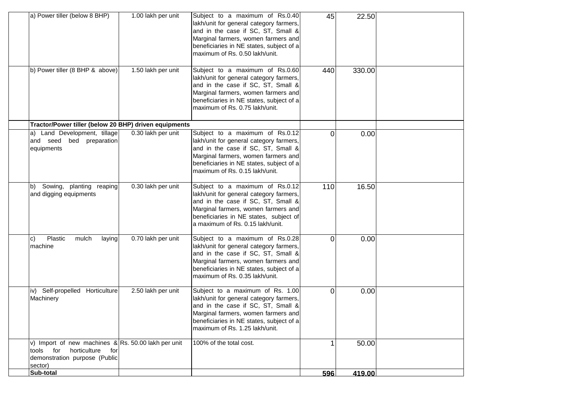| a) Power tiller (below 8 BHP)                                                                                                          | 1.00 lakh per unit | Subject to a maximum of Rs.0.40<br>lakh/unit for general category farmers,<br>and in the case if SC, ST, Small &<br>Marginal farmers, women farmers and<br>beneficiaries in NE states, subject of a<br>maximum of Rs. 0.50 lakh/unit.  | 45       | 22.50  |  |
|----------------------------------------------------------------------------------------------------------------------------------------|--------------------|----------------------------------------------------------------------------------------------------------------------------------------------------------------------------------------------------------------------------------------|----------|--------|--|
| b) Power tiller (8 BHP & above)                                                                                                        | 1.50 lakh per unit | Subject to a maximum of Rs.0.60<br>lakh/unit for general category farmers,<br>and in the case if SC, ST, Small &<br>Marginal farmers, women farmers and<br>beneficiaries in NE states, subject of a<br>maximum of Rs. 0.75 lakh/unit.  | 440      | 330.00 |  |
| Tractor/Power tiller (below 20 BHP) driven equipments                                                                                  |                    |                                                                                                                                                                                                                                        |          |        |  |
| a) Land Development, tillage<br>and seed bed preparation<br>equipments                                                                 | 0.30 lakh per unit | Subject to a maximum of Rs.0.12<br>lakh/unit for general category farmers,<br>and in the case if SC, ST, Small &<br>Marginal farmers, women farmers and<br>beneficiaries in NE states, subject of a<br>maximum of Rs. 0.15 lakh/unit.  | 0        | 0.00   |  |
| b) Sowing, planting reaping<br>and digging equipments                                                                                  | 0.30 lakh per unit | Subject to a maximum of Rs.0.12<br>lakh/unit for general category farmers,<br>and in the case if SC, ST, Small &<br>Marginal farmers, women farmers and<br>beneficiaries in NE states, subject of<br>a maximum of Rs. 0.15 lakh/unit.  | 110      | 16.50  |  |
| Plastic<br>mulch<br>$\vert c \rangle$<br>laying<br>machine                                                                             | 0.70 lakh per unit | Subject to a maximum of Rs.0.28<br>lakh/unit for general category farmers,<br>and in the case if SC, ST, Small &<br>Marginal farmers, women farmers and<br>beneficiaries in NE states, subject of a<br>maximum of Rs. 0.35 lakh/unit.  | $\Omega$ | 0.00   |  |
| iv) Self-propelled Horticulture<br>Machinery                                                                                           | 2.50 lakh per unit | Subject to a maximum of Rs. 1.00<br>lakh/unit for general category farmers,<br>and in the case if SC, ST, Small &<br>Marginal farmers, women farmers and<br>beneficiaries in NE states, subject of a<br>maximum of Rs. 1.25 lakh/unit. | 0        | 0.00   |  |
| v) Import of new machines & Rs. 50.00 lakh per unit<br>for<br>horticulture<br>tools<br>for<br>demonstration purpose (Public<br>sector) |                    | 100% of the total cost.                                                                                                                                                                                                                | 1        | 50.00  |  |
| Sub-total                                                                                                                              |                    |                                                                                                                                                                                                                                        | 596      | 419.00 |  |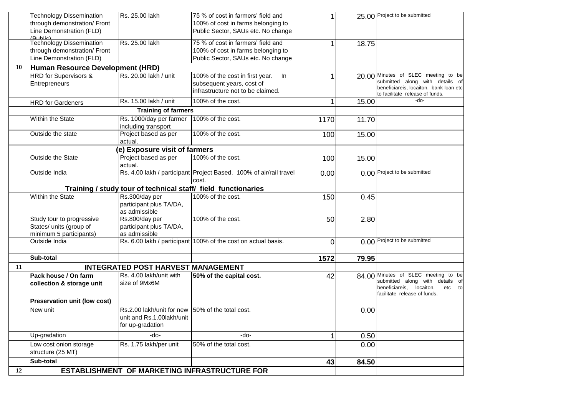|    | <b>Technology Dissemination</b>     | Rs. 25.00 lakh                                   | 75 % of cost in farmers' field and                                 | 1    |       | 25.00 Project to be submitted                                             |
|----|-------------------------------------|--------------------------------------------------|--------------------------------------------------------------------|------|-------|---------------------------------------------------------------------------|
|    | through demonstration/ Front        |                                                  | 100% of cost in farms belonging to                                 |      |       |                                                                           |
|    | Line Demonstration (FLD)            |                                                  | Public Sector, SAUs etc. No change                                 |      |       |                                                                           |
|    | (Dublie)                            | Rs. 25.00 lakh                                   |                                                                    |      |       |                                                                           |
|    | <b>Technology Dissemination</b>     |                                                  | 75 % of cost in farmers' field and                                 | 1    | 18.75 |                                                                           |
|    | through demonstration/ Front        |                                                  | 100% of cost in farms belonging to                                 |      |       |                                                                           |
|    | Line Demonstration (FLD)            |                                                  | Public Sector, SAUs etc. No change                                 |      |       |                                                                           |
| 10 | Human Resource Development (HRD)    |                                                  |                                                                    |      |       |                                                                           |
|    | <b>HRD</b> for Supervisors &        | Rs. 20.00 lakh / unit                            | 100% of the cost in first year.<br>$\ln$                           | 1    |       | 20.00 Minutes of SLEC meeting to be                                       |
|    | Entrepreneurs                       |                                                  | subsequent years, cost of                                          |      |       | submitted along with details of                                           |
|    |                                     |                                                  | infrastructure not to be claimed.                                  |      |       | beneficiareis, locaiton, bank loan etc<br>to facilitate release of funds. |
|    | <b>HRD</b> for Gardeners            | Rs. 15.00 lakh / unit                            | 100% of the cost.                                                  | 1    | 15.00 | -do-                                                                      |
|    |                                     | <b>Training of farmers</b>                       |                                                                    |      |       |                                                                           |
|    | Within the State                    | Rs. 1000/day per farmer                          | 100% of the cost.                                                  | 1170 | 11.70 |                                                                           |
|    |                                     | including transport                              |                                                                    |      |       |                                                                           |
|    | Outside the state                   | Project based as per                             | 100% of the cost.                                                  | 100  | 15.00 |                                                                           |
|    |                                     | actual.                                          |                                                                    |      |       |                                                                           |
|    |                                     | (e) Exposure visit of farmers                    |                                                                    |      |       |                                                                           |
|    | <b>Outside the State</b>            | Project based as per                             | 100% of the cost.                                                  | 100  | 15.00 |                                                                           |
|    |                                     | actual.                                          |                                                                    |      |       |                                                                           |
|    | Outside India                       |                                                  | Rs. 4.00 lakh / participant Project Based. 100% of air/rail travel | 0.00 |       | 0.00 Project to be submitted                                              |
|    |                                     |                                                  | cost.                                                              |      |       |                                                                           |
|    |                                     |                                                  | Training / study tour of technical staff/ field functionaries      |      |       |                                                                           |
|    | Within the State                    | Rs.300/day per                                   | 100% of the cost.                                                  | 150  | 0.45  |                                                                           |
|    |                                     | participant plus TA/DA,                          |                                                                    |      |       |                                                                           |
|    |                                     | as admissible                                    |                                                                    |      |       |                                                                           |
|    | Study tour to progressive           | Rs.800/day per                                   | 100% of the cost.                                                  | 50   | 2.80  |                                                                           |
|    | States/ units (group of             | participant plus TA/DA,                          |                                                                    |      |       |                                                                           |
|    | minimum 5 participants)             | as admissible                                    |                                                                    |      |       |                                                                           |
|    | Outside India                       |                                                  | Rs. 6.00 lakh / participant 100% of the cost on actual basis.      | 0    |       | 0.00 Project to be submitted                                              |
|    |                                     |                                                  |                                                                    |      |       |                                                                           |
|    | Sub-total                           |                                                  |                                                                    | 1572 | 79.95 |                                                                           |
| 11 |                                     | <b>INTEGRATED POST HARVEST MANAGEMENT</b>        |                                                                    |      |       |                                                                           |
|    | Pack house / On farm                | Rs. 4.00 lakh/unit with                          | 50% of the capital cost.                                           | 42   |       | 84.00 Minutes of SLEC meeting to be                                       |
|    | collection & storage unit           | size of 9Mx6M                                    |                                                                    |      |       | submitted along with details of                                           |
|    |                                     |                                                  |                                                                    |      |       | beneficiareis, locaiton,<br>etc to<br>facilitate release of funds.        |
|    | <b>Preservation unit (low cost)</b> |                                                  |                                                                    |      |       |                                                                           |
|    | New unit                            | Rs.2.00 lakh/unit for new 50% of the total cost. |                                                                    |      | 0.00  |                                                                           |
|    |                                     | unit and Rs.1.00lakh/unit                        |                                                                    |      |       |                                                                           |
|    |                                     | for up-gradation                                 |                                                                    |      |       |                                                                           |
|    | Up-gradation                        | -do-                                             | -do-                                                               | 1    | 0.50  |                                                                           |
|    | Low cost onion storage              | Rs. 1.75 lakh/per unit                           | 50% of the total cost.                                             |      | 0.00  |                                                                           |
|    | structure (25 MT)                   |                                                  |                                                                    |      |       |                                                                           |
|    | Sub-total                           |                                                  |                                                                    | 43   | 84.50 |                                                                           |
| 12 |                                     |                                                  | <b>ESTABLISHMENT OF MARKETING INFRASTRUCTURE FOR</b>               |      |       |                                                                           |
|    |                                     |                                                  |                                                                    |      |       |                                                                           |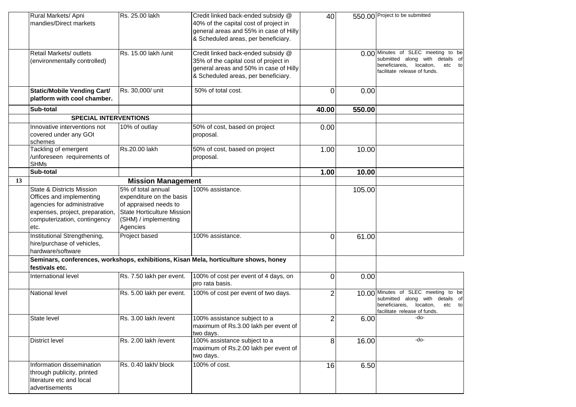|    | Rural Markets/ Apni<br>mandies/Direct markets                                                                                                                              | Rs. 25.00 lakh                                                                                                                                   | Credit linked back-ended subsidy @<br>40% of the capital cost of project in<br>general areas and 55% in case of Hilly<br>& Scheduled areas, per beneficiary. | 40             |        | 550.00 Project to be submitted                                                                                                               |
|----|----------------------------------------------------------------------------------------------------------------------------------------------------------------------------|--------------------------------------------------------------------------------------------------------------------------------------------------|--------------------------------------------------------------------------------------------------------------------------------------------------------------|----------------|--------|----------------------------------------------------------------------------------------------------------------------------------------------|
|    | Retail Markets/ outlets<br>(environmentally controlled)                                                                                                                    | Rs. 15.00 lakh /unit                                                                                                                             | Credit linked back-ended subsidy @<br>35% of the capital cost of project in<br>general areas and 50% in case of Hilly<br>& Scheduled areas, per beneficiary. |                |        | 0.00 Minutes of SLEC meeting to be<br>submitted along with details of<br>beneficiareis, locaiton,<br>etc to<br>facilitate release of funds.  |
|    | <b>Static/Mobile Vending Cart/</b><br>platform with cool chamber.                                                                                                          | Rs. 30,000/ unit                                                                                                                                 | 50% of total cost.                                                                                                                                           | 0              | 0.00   |                                                                                                                                              |
|    | Sub-total                                                                                                                                                                  |                                                                                                                                                  |                                                                                                                                                              | 40.00          | 550.00 |                                                                                                                                              |
|    | <b>SPECIAL INTERVENTIONS</b>                                                                                                                                               |                                                                                                                                                  |                                                                                                                                                              |                |        |                                                                                                                                              |
|    | Innovative interventions not<br>covered under any GOI<br>schemes                                                                                                           | 10% of outlay                                                                                                                                    | 50% of cost, based on project<br>proposal.                                                                                                                   | 0.00           |        |                                                                                                                                              |
|    | Tackling of emergent<br>/unforeseen requirements of<br><b>SHMs</b>                                                                                                         | Rs.20.00 lakh                                                                                                                                    | 50% of cost, based on project<br>proposal.                                                                                                                   | 1.00           | 10.00  |                                                                                                                                              |
|    | Sub-total                                                                                                                                                                  |                                                                                                                                                  |                                                                                                                                                              | 1.00           | 10.00  |                                                                                                                                              |
| 13 |                                                                                                                                                                            | <b>Mission Management</b>                                                                                                                        |                                                                                                                                                              |                |        |                                                                                                                                              |
|    | <b>State &amp; Districts Mission</b><br>Offices and implementing<br>agencies for administrative<br>expenses, project, preparation,<br>computerization, contingency<br>etc. | 5% of total annual<br>expenditure on the basis<br>of appraised needs to<br><b>State Horticulture Mission</b><br>(SHM) / implementing<br>Agencies | 100% assistance.                                                                                                                                             |                | 105.00 |                                                                                                                                              |
|    | Institutional Strengthening,<br>hire/purchase of vehicles,<br>hardware/software                                                                                            | Project based                                                                                                                                    | 100% assistance.                                                                                                                                             | $\Omega$       | 61.00  |                                                                                                                                              |
|    | festivals etc.                                                                                                                                                             |                                                                                                                                                  | Seminars, conferences, workshops, exhibitions, Kisan Mela, horticulture shows, honey                                                                         |                |        |                                                                                                                                              |
|    | International level                                                                                                                                                        | Rs. 7.50 lakh per event.                                                                                                                         | 100% of cost per event of 4 days, on<br>pro rata basis.                                                                                                      | $\overline{0}$ | 0.00   |                                                                                                                                              |
|    | <b>National level</b>                                                                                                                                                      | Rs. 5.00 lakh per event.                                                                                                                         | 100% of cost per event of two days.                                                                                                                          | 2              |        | 10.00 Minutes of SLEC meeting to be<br>submitted along with details of<br>beneficiareis, locaiton,<br>etc to<br>facilitate release of funds. |
|    | State level                                                                                                                                                                | Rs. 3.00 lakh / event                                                                                                                            | 100% assistance subject to a<br>maximum of Rs.3.00 lakh per event of<br>two days.                                                                            | $\overline{c}$ | 6.00   | -do-                                                                                                                                         |
|    | <b>District level</b>                                                                                                                                                      | Rs. 2.00 lakh / event                                                                                                                            | 100% assistance subject to a<br>maximum of Rs.2.00 lakh per event of<br>two days.                                                                            | 8              | 16.00  | -do-                                                                                                                                         |
|    | Information dissemination<br>through publicity, printed<br>literature etc and local<br>advertisements                                                                      | Rs. 0.40 lakh/ block                                                                                                                             | 100% of cost.                                                                                                                                                | 16             | 6.50   |                                                                                                                                              |